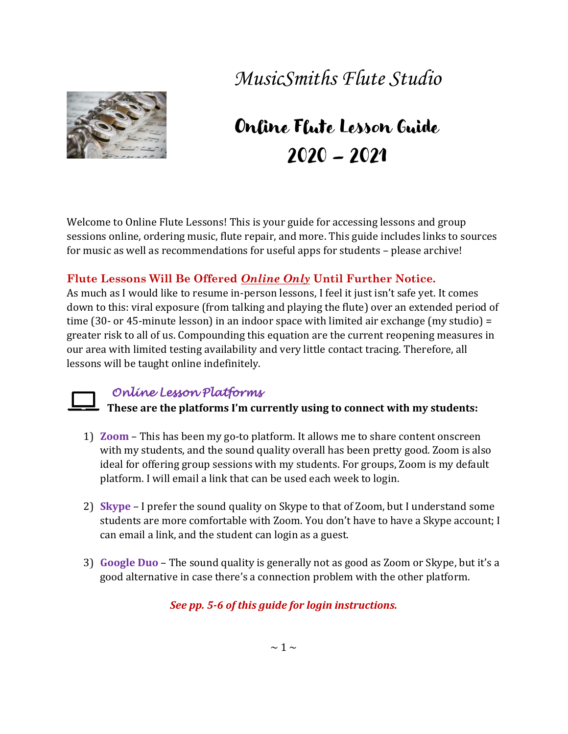## *MusicSmiths Flute Studio*



# Online Flute Lesson Guide 2020 – 2021

Welcome to Online Flute Lessons! This is your guide for accessing lessons and group sessions online, ordering music, flute repair, and more. This guide includes links to sources for music as well as recommendations for useful apps for students – please archive!

#### **Flute Lessons Will Be Offered** *Online Only* **Until Further Notice.**

As much as I would like to resume in-person lessons, I feel it just isn't safe yet. It comes down to this: viral exposure (from talking and playing the flute) over an extended period of time (30- or 45-minute lesson) in an indoor space with limited air exchange (my studio) = greater risk to all of us. Compounding this equation are the current reopening measures in our area with limited testing availability and very little contact tracing. Therefore, all lessons will be taught online indefinitely.

### *Online Lesson Platforms*

**These are the platforms I'm currently using to connect with my students:**

- 1) **Zoom** This has been my go-to platform. It allows me to share content onscreen with my students, and the sound quality overall has been pretty good. Zoom is also ideal for offering group sessions with my students. For groups, Zoom is my default platform. I will email a link that can be used each week to login.
- 2) **Skype** I prefer the sound quality on Skype to that of Zoom, but I understand some students are more comfortable with Zoom. You don't have to have a Skype account; I can email a link, and the student can login as a guest.
- 3) **Google Duo** The sound quality is generally not as good as Zoom or Skype, but it's a good alternative in case there's a connection problem with the other platform.

### *See pp. 5-6 of this guide for login instructions.*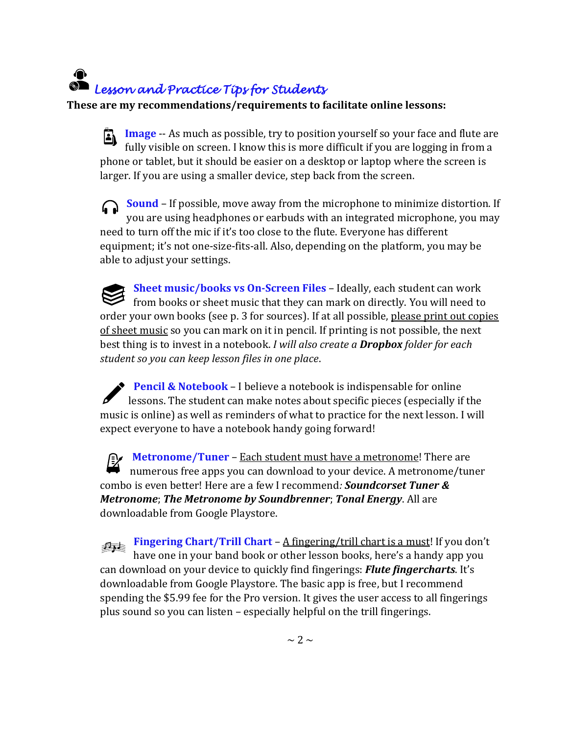### ∩ *Lesson and Practice Tips for Students*

**These are my recommendations/requirements to facilitate online lessons:**

**Image** -- As much as possible, try to position yourself so your face and flute are A fully visible on screen. I know this is more difficult if you are logging in from a phone or tablet, but it should be easier on a desktop or laptop where the screen is larger. If you are using a smaller device, step back from the screen.

**Sound** – If possible, move away from the microphone to minimize distortion. If you are using headphones or earbuds with an integrated microphone, you may need to turn off the mic if it's too close to the flute. Everyone has different equipment; it's not one-size-fits-all. Also, depending on the platform, you may be able to adjust your settings.

**Sheet music/books vs On-Screen Files** – Ideally, each student can work from books or sheet music that they can mark on directly. You will need to order your own books (see p. 3 for sources). If at all possible, please print out copies of sheet music so you can mark on it in pencil. If printing is not possible, the next best thing is to invest in a notebook. *I will also create a Dropbox folder for each student so you can keep lesson files in one place*.

**Pencil & Notebook** – I believe a notebook is indispensable for online lessons. The student can make notes about specific pieces (especially if the music is online) as well as reminders of what to practice for the next lesson. I will expect everyone to have a notebook handy going forward!

**Metronome/Tuner** – **Each student must have a metronome!** There are numerous free apps you can download to your device. A metronome/tuner combo is even better! Here are a few I recommend*: Soundcorset Tuner & Metronome*; *The Metronome by Soundbrenner*; *Tonal Energy*. All are downloadable from Google Playstore.

**Fingering Chart/Trill Chart** – A fingering/trill chart is a must! If you don't have one in your band book or other lesson books, here's a handy app you can download on your device to quickly find fingerings: *Flute fingercharts*. It's downloadable from Google Playstore. The basic app is free, but I recommend spending the \$5.99 fee for the Pro version. It gives the user access to all fingerings plus sound so you can listen – especially helpful on the trill fingerings.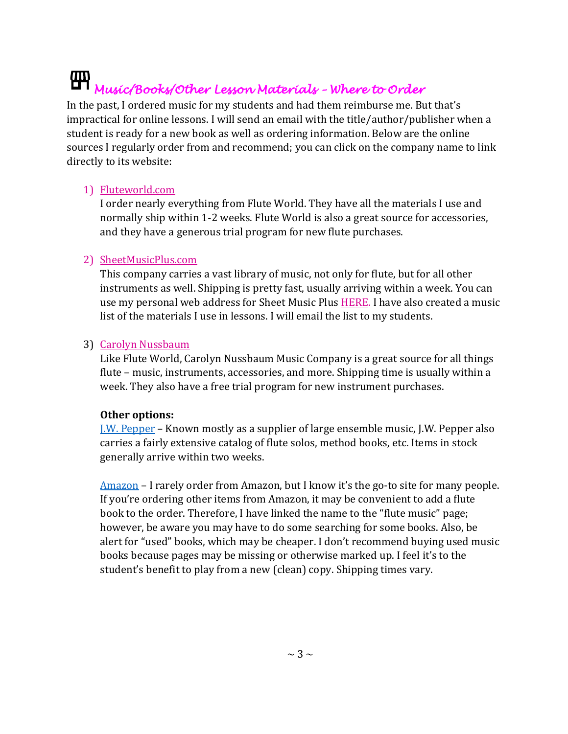### 冊 *Music/Books/Other Lesson Materials – Where to Order*

In the past, I ordered music for my students and had them reimburse me. But that's impractical for online lessons. I will send an email with the title/author/publisher when a student is ready for a new book as well as ordering information. Below are the online sources I regularly order from and recommend; you can click on the company name to link directly to its website:

#### 1) [Fluteworld.com](https://www.fluteworld.com/)

I order nearly everything from Flute World. They have all the materials I use and normally ship within 1-2 weeks. Flute World is also a great source for accessories, and they have a generous trial program for new flute purchases.

#### 2) [SheetMusicPlus.com](https://www.sheetmusicplus.com/?aff_id=700067)

This company carries a vast library of music, not only for flute, but for all other instruments as well. Shipping is pretty fast, usually arriving within a week. You can use my personal web address for Sheet Music Plu[s HERE.](file:///C:/Users/Owner/Documents/www.sheetmusicplus.com%3faff_id=700067) I have also created a music list of the materials I use in lessons. I will email the list to my students.

#### 3) [Carolyn Nussbaum](http://www.flute4u.com/store/home.php)

Like Flute World, Carolyn Nussbaum Music Company is a great source for all things flute – music, instruments, accessories, and more. Shipping time is usually within a week. They also have a free trial program for new instrument purchases.

#### **Other options:**

[J.W. Pepper](https://www.jwpepper.com/sheet-music/welcome.jsp) – Known mostly as a supplier of large ensemble music, J.W. Pepper also carries a fairly extensive catalog of flute solos, method books, etc. Items in stock generally arrive within two weeks.

[Amazon](https://www.amazon.com/s?k=flute+music&crid=1BJCPF1OUKINL&sprefix=flute+music%2Caps%2C426&ref=nb_sb_ss_i_3_11) – I rarely order from Amazon, but I know it's the go-to site for many people. If you're ordering other items from Amazon, it may be convenient to add a flute book to the order. Therefore, I have linked the name to the "flute music" page; however, be aware you may have to do some searching for some books. Also, be alert for "used" books, which may be cheaper. I don't recommend buying used music books because pages may be missing or otherwise marked up. I feel it's to the student's benefit to play from a new (clean) copy. Shipping times vary.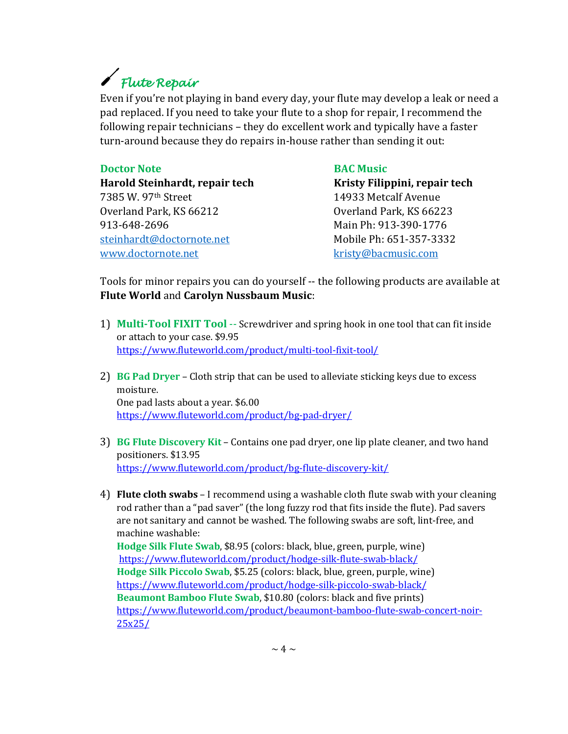# *Flute Repair*

Even if you're not playing in band every day, your flute may develop a leak or need a pad replaced. If you need to take your flute to a shop for repair, I recommend the following repair technicians – they do excellent work and typically have a faster turn-around because they do repairs in-house rather than sending it out:

#### **Doctor Note BAC Music**

**Harold Steinhardt, repair tech Kristy Filippini, repair tech** 7385 W. 97th Street 14933 Metcalf Avenue Overland Park, KS 66212 Overland Park, KS 66223 913-648-2696 Main Ph: 913-390-1776 [steinhardt@doctornote.net](mailto:steinhardt@doctornote.net) Mobile Ph: 651-357-3332 [www.doctornote.net](http://www.doctornote.net/) [kristy@bacmusic.com](mailto:kristy@bacmusic.com)

Tools for minor repairs you can do yourself -- the following products are available at **Flute World** and **Carolyn Nussbaum Music**:

- 1) **Multi-Tool FIXIT Tool** -- Screwdriver and spring hook in one tool that can fit inside or attach to your case. \$9.95 <https://www.fluteworld.com/product/multi-tool-fixit-tool/>
- 2) **BG Pad Dryer** Cloth strip that can be used to alleviate sticking keys due to excess moisture. One pad lasts about a year. \$6.00 <https://www.fluteworld.com/product/bg-pad-dryer/>
- 3) **BG Flute Discovery Kit** Contains one pad dryer, one lip plate cleaner, and two hand positioners. \$13.95 <https://www.fluteworld.com/product/bg-flute-discovery-kit/>
- 4) **Flute cloth swabs** I recommend using a washable cloth flute swab with your cleaning rod rather than a "pad saver" (the long fuzzy rod that fits inside the flute). Pad savers are not sanitary and cannot be washed. The following swabs are soft, lint-free, and machine washable:

**Hodge Silk Flute Swab**, \$8.95 (colors: black, blue, green, purple, wine) <https://www.fluteworld.com/product/hodge-silk-flute-swab-black/> **Hodge Silk Piccolo Swab**, \$5.25 (colors: black, blue, green, purple, wine) <https://www.fluteworld.com/product/hodge-silk-piccolo-swab-black/> **Beaumont Bamboo Flute Swab**, \$10.80 (colors: black and five prints) [https://www.fluteworld.com/product/beaumont-bamboo-flute-swab-concert-noir-](https://www.fluteworld.com/product/beaumont-bamboo-flute-swab-concert-noir-25x25/)[25x25/](https://www.fluteworld.com/product/beaumont-bamboo-flute-swab-concert-noir-25x25/)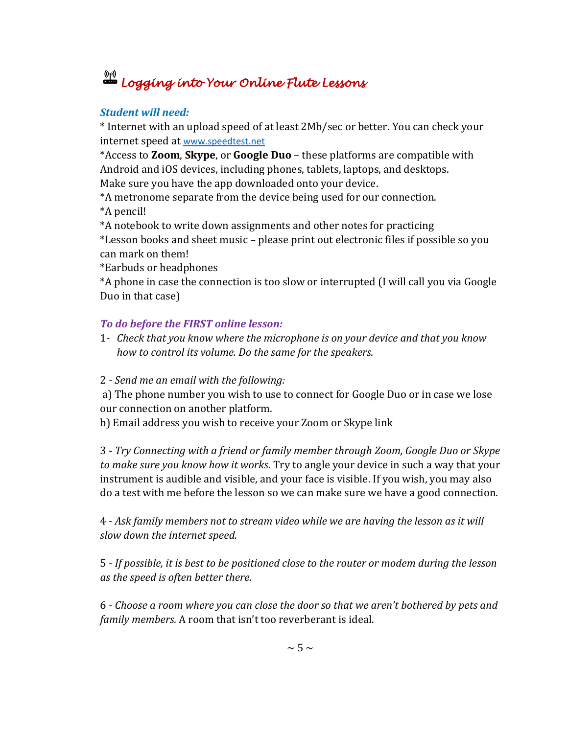# *Logging into Your Online Flute Lessons*

#### *Student will need:*

\* Internet with an upload speed of at least 2Mb/sec or better. You can check your internet speed at [www.speedtest.net](http://www.speedtest.net/)

\*Access to **Zoom**, **Skype**, or **Google Duo** – these platforms are compatible with Android and iOS devices, including phones, tablets, laptops, and desktops. Make sure you have the app downloaded onto your device.

\*A metronome separate from the device being used for our connection.

\*A pencil!

\*A notebook to write down assignments and other notes for practicing

\*Lesson books and sheet music – please print out electronic files if possible so you can mark on them!

\*Earbuds or headphones

\*A phone in case the connection is too slow or interrupted (I will call you via Google Duo in that case)

#### *To do before the FIRST online lesson:*

- 1- *Check that you know where the microphone is on your device and that you know how to control its volume. Do the same for the speakers.*
- 2 *- Send me an email with the following:*

a) The phone number you wish to use to connect for Google Duo or in case we lose our connection on another platform.

b) Email address you wish to receive your Zoom or Skype link

3 - *Try Connecting with a friend or family member through Zoom, Google Duo or Skype to make sure you know how it works*. Try to angle your device in such a way that your instrument is audible and visible, and your face is visible. If you wish, you may also do a test with me before the lesson so we can make sure we have a good connection.

4 - *Ask family members not to stream video while we are having the lesson as it will slow down the internet speed.*

5 - *If possible, it is best to be positioned close to the router or modem during the lesson as the speed is often better there.* 

6 - *Choose a room where you can close the door so that we aren't bothered by pets and family members.* A room that isn't too reverberant is ideal.